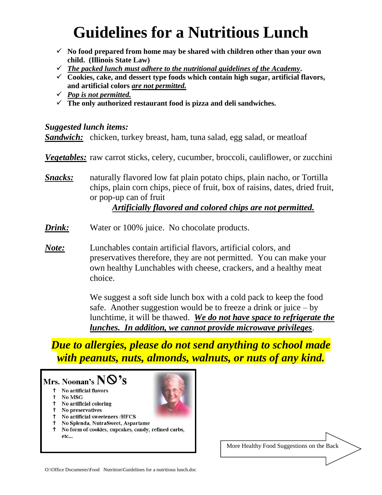# **Guidelines for a Nutritious Lunch**

- ✓ **No food prepared from home may be shared with children other than your own child. (Illinois State Law)**
- ✓ *The packed lunch must adhere to the nutritional guidelines of the Academy***.**
- ✓ **Cookies, cake, and dessert type foods which contain high sugar, artificial flavors, and artificial colors** *are not permitted.*
- ✓ *Pop is not permitted.*
- ✓ **The only authorized restaurant food is pizza and deli sandwiches.**

#### *Suggested lunch items:*

*Sandwich:* chicken, turkey breast, ham, tuna salad, egg salad, or meatloaf

*Vegetables:* raw carrot sticks, celery, cucumber, broccoli, cauliflower, or zucchini

*Snacks:* naturally flavored low fat plain potato chips, plain nacho, or Tortilla chips, plain corn chips, piece of fruit, box of raisins, dates, dried fruit, or pop-up can of fruit

## *Artificially flavored and colored chips are not permitted.*

- *Drink:* Water or 100% juice. No chocolate products.
- *Note:* Lunchables contain artificial flavors, artificial colors, and preservatives therefore, they are not permitted. You can make your own healthy Lunchables with cheese, crackers, and a healthy meat choice.

We suggest a soft side lunch box with a cold pack to keep the food safe. Another suggestion would be to freeze a drink or juice  $-$  by lunchtime, it will be thawed. *We do not have space to refrigerate the lunches. In addition, we cannot provide microwave privileges*.

*Due to allergies, please do not send anything to school made with peanuts, nuts, almonds, walnuts, or nuts of any kind.* 

## Mrs. Noonan's NO'S

- † No artificial flavors
- No MSG t.
- † No artificial coloring
- **1** No preservatives
- † No artificial sweeteners /HFCS
- † No Splenda, NutraSweet, Aspartame
- <sup>†</sup> No form of cookies, cupcakes, candy, refined carbs,  $etc...$

More Healthy Food Suggestions on the Back